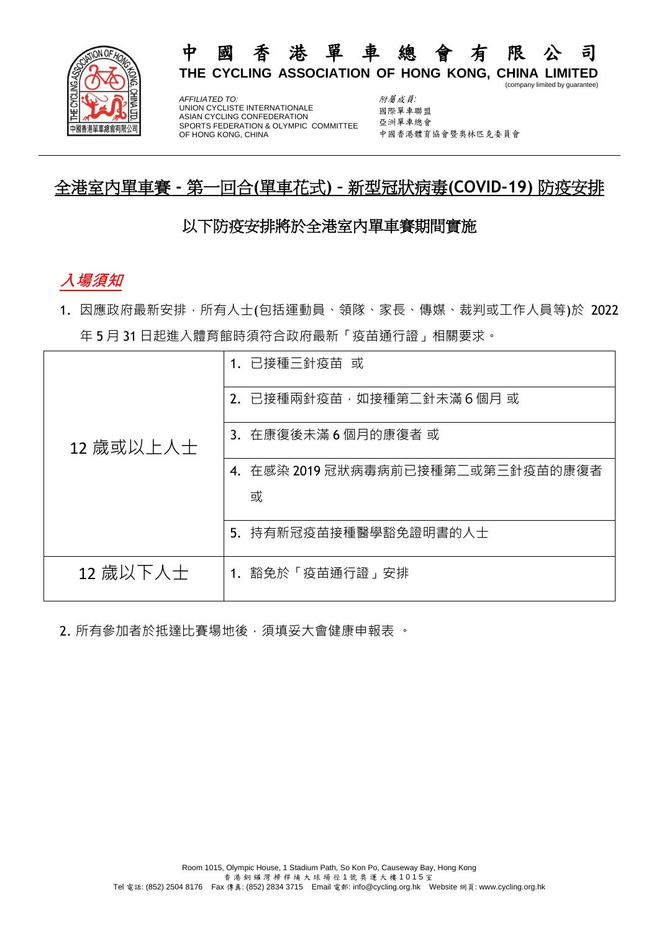

*AFFILIATED TO:* UNION CYCLISTE INTERNATIONALE ASIAN CYCLING CONFEDERATION SPORTS FEDERATION & OLYMPIC COMMITTEE OF HONG KONG, CHINA

附屬成員*:* 國際單車聯盟 亞洲單車總會 中國香港體育協會暨奧林匹克委員會

(company limited by guarantee)

# 全港室內單車賽 **-** 第一回合**(**單車花式**) –** 新型冠狀病毒**(COVID-19)** 防疫安排

#### 以下防疫安排將於全港室內單車賽期間實施

# **入場須知**

1. 因應政府最新安排,所有人士(包括運動員、領隊、家長、傳媒、裁判或工作人員等)於 2022 年 5 月 31 日起進入體育館時須符合政府最新「疫苗通行證」相關要求。

| 1. 已接種三針疫苗 或                         |
|--------------------------------------|
| 2. 已接種兩針疫苗,如接種第二針未滿6個月 或             |
| 3. 在康復後未滿6個月的康復者或                    |
| 在感染 2019 冠狀病毒病前已接種第二或第三針疫苗的康復者<br>4. |
| 或                                    |
| 5. 持有新冠疫苗接種醫學豁免證明書的人士                |
| 1. 豁免於「疫苗通行證」安排                      |
|                                      |

2. 所有參加者於抵達比賽場地後, 須填妥大會健康申報表 。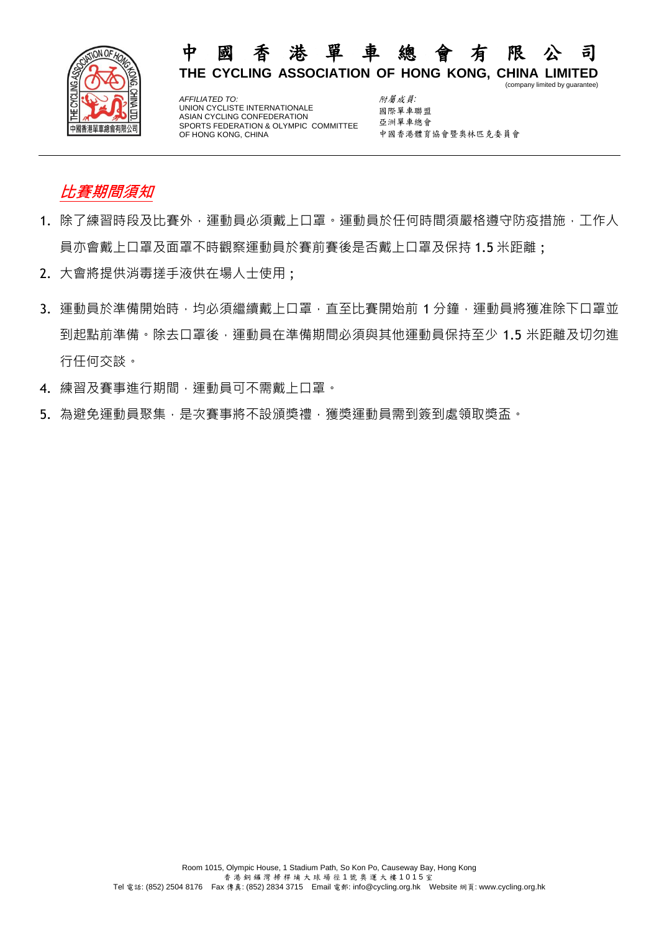

*AFFILIATED TO:* UNION CYCLISTE INTERNATIONALE ASIAN CYCLING CONFEDERATION SPORTS FEDERATION & OLYMPIC COMMITTEE OF HONG KONG, CHINA

附屬成員*:* 國際單車聯盟 亞洲單車總會 中國香港體育協會暨奧林匹克委員會

(company limited by guarantee)

# **比賽期間須知**

- 1. 除了練習時段及比賽外,運動員必須戴上口罩。運動員於任何時間須嚴格遵守防疫措施,工作人 員亦會戴上口罩及面罩不時觀察運動員於賽前賽後是否戴上口罩及保持 1.5 米距離 ;
- 2. 大會將提供消毒搓手液供在場人士使用 ;
- 3. 運動員於準備開始時,均必須繼續戴上口罩,直至比賽開始前 1 分鐘,運動員將獲准除下口罩並 到起點前準備。除去口罩後,運動員在準備期間必須與其他運動員保持至少 1.5 米距離及切勿進 行任何交談。
- 4. 練習及賽事進行期間,運動員可不需戴上口罩。
- 5. 為避免運動員聚集,是次賽事將不設頒獎禮,獲獎運動員需到簽到處領取獎盃。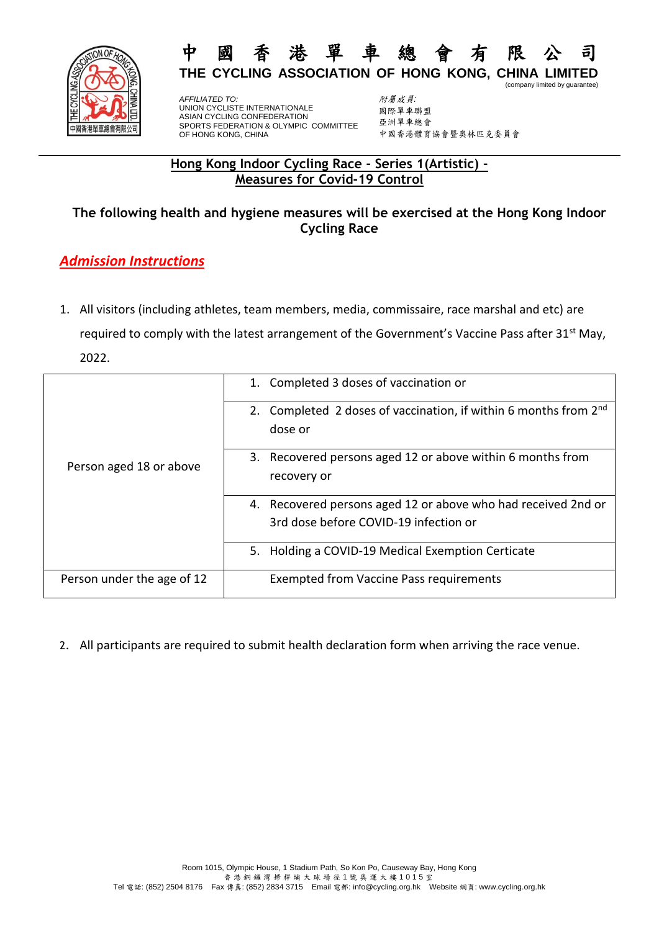

*AFFILIATED TO:* UNION CYCLISTE INTERNATIONALE ASIAN CYCLING CONFEDERATION SPORTS FEDERATION & OLYMPIC COMMITTEE OF HONG KONG, CHINA

附屬成員*:* 國際單車聯盟 亞洲單車總會 中國香港體育協會暨奧林匹克委員會

(company limited by guarantee)

#### **Hong Kong Indoor Cycling Race - Series 1(Artistic) - Measures for Covid-19 Control**

#### **The following health and hygiene measures will be exercised at the Hong Kong Indoor Cycling Race**

### *Admission Instructions*

1. All visitors (including athletes, team members, media, commissaire, race marshal and etc) are required to comply with the latest arrangement of the Government's Vaccine Pass after 31<sup>st</sup> May, 2022.

| Person aged 18 or above    | 1. Completed 3 doses of vaccination or                                                  |
|----------------------------|-----------------------------------------------------------------------------------------|
|                            | 2. Completed 2 doses of vaccination, if within 6 months from 2 <sup>nd</sup><br>dose or |
|                            | 3. Recovered persons aged 12 or above within 6 months from                              |
|                            | recovery or                                                                             |
|                            | 4. Recovered persons aged 12 or above who had received 2nd or                           |
|                            | 3rd dose before COVID-19 infection or                                                   |
|                            | 5. Holding a COVID-19 Medical Exemption Certicate                                       |
| Person under the age of 12 | <b>Exempted from Vaccine Pass requirements</b>                                          |

2. All participants are required to submit health declaration form when arriving the race venue.